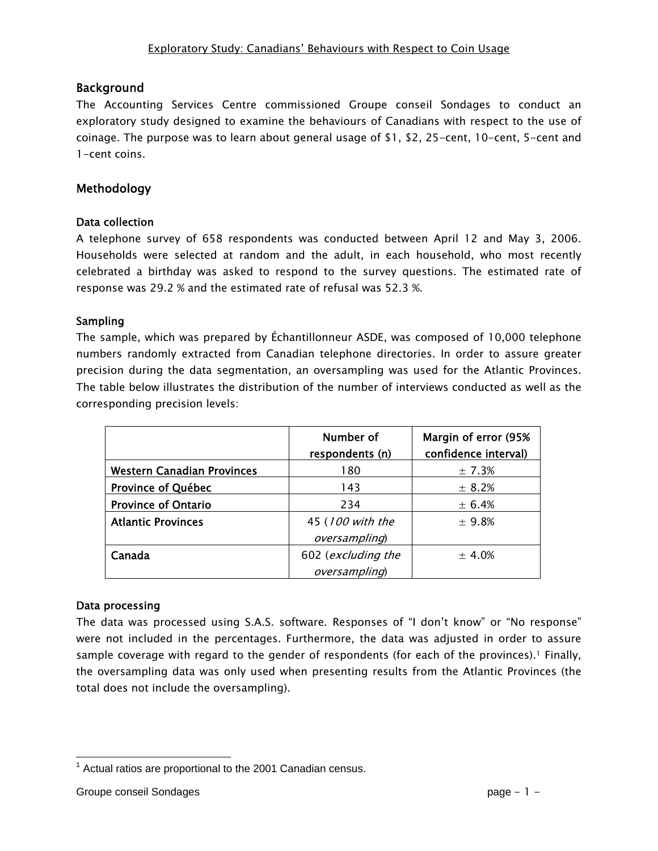#### Background

The Accounting Services Centre commissioned Groupe conseil Sondages to conduct an exploratory study designed to examine the behaviours of Canadians with respect to the use of coinage. The purpose was to learn about general usage of \$1, \$2, 25-cent, 10-cent, 5-cent and 1-cent coins.

## Methodology

#### Data collection

A telephone survey of 658 respondents was conducted between April 12 and May 3, 2006. Households were selected at random and the adult, in each household, who most recently celebrated a birthday was asked to respond to the survey questions. The estimated rate of response was 29.2 % and the estimated rate of refusal was 52.3 %.

#### Sampling

The sample, which was prepared by Échantillonneur ASDE, was composed of 10,000 telephone numbers randomly extracted from Canadian telephone directories. In order to assure greater precision during the data segmentation, an oversampling was used for the Atlantic Provinces. The table below illustrates the distribution of the number of interviews conducted as well as the corresponding precision levels:

|                                   | Number of<br>respondents (n) | Margin of error (95%<br>confidence interval) |
|-----------------------------------|------------------------------|----------------------------------------------|
| <b>Western Canadian Provinces</b> | 180                          | ± 7.3%                                       |
| Province of Québec                | 143                          | ± 8.2%                                       |
| <b>Province of Ontario</b>        | 234                          | ± 6.4%                                       |
| <b>Atlantic Provinces</b>         | 45 (100 with the             | ± 9.8%                                       |
|                                   | oversampling)                |                                              |
| Canada                            | 602 (excluding the           | ± 4.0%                                       |
|                                   | oversampling)                |                                              |

#### Data processing

The data was processed using S.A.S. software. Responses of "I don't know" or "No response" were not included in the percentages. Furthermore, the data was adjusted in order to assure sample coverage with regard to the gender of respondents (for each of the provinces).<sup>1</sup> Finally, the oversampling data was only used when presenting results from the Atlantic Provinces (the total does not include the oversampling).

  $1$  Actual ratios are proportional to the 2001 Canadian census.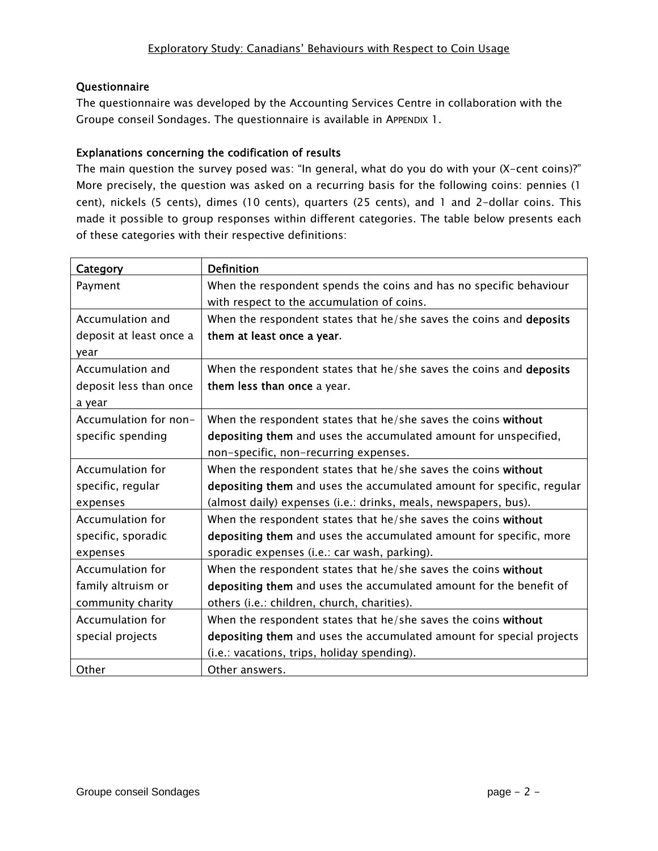#### Questionnaire

The questionnaire was developed by the Accounting Services Centre in collaboration with the Groupe conseil Sondages. The questionnaire is available in APPENDIX 1.

#### Explanations concerning the codification of results

The main question the survey posed was: "In general, what do you do with your (X-cent coins)?" More precisely, the question was asked on a recurring basis for the following coins: pennies (1 cent), nickels (5 cents), dimes (10 cents), quarters (25 cents), and 1 and 2-dollar coins. This made it possible to group responses within different categories. The table below presents each of these categories with their respective definitions:

| Category                | <b>Definition</b>                                                     |
|-------------------------|-----------------------------------------------------------------------|
| Payment                 | When the respondent spends the coins and has no specific behaviour    |
|                         | with respect to the accumulation of coins.                            |
| Accumulation and        | When the respondent states that he/she saves the coins and deposits   |
| deposit at least once a | them at least once a year.                                            |
| year                    |                                                                       |
| Accumulation and        | When the respondent states that he/she saves the coins and deposits   |
| deposit less than once  | them less than once a year.                                           |
| a year                  |                                                                       |
| Accumulation for non-   | When the respondent states that he/she saves the coins without        |
| specific spending       | depositing them and uses the accumulated amount for unspecified,      |
|                         | non-specific, non-recurring expenses.                                 |
| <b>Accumulation for</b> | When the respondent states that he/she saves the coins without        |
| specific, regular       | depositing them and uses the accumulated amount for specific, regular |
| expenses                | (almost daily) expenses (i.e.: drinks, meals, newspapers, bus).       |
| <b>Accumulation for</b> | When the respondent states that he/she saves the coins without        |
| specific, sporadic      | depositing them and uses the accumulated amount for specific, more    |
| expenses                | sporadic expenses (i.e.: car wash, parking).                          |
| <b>Accumulation for</b> | When the respondent states that he/she saves the coins without        |
| family altruism or      | depositing them and uses the accumulated amount for the benefit of    |
| community charity       | others (i.e.: children, church, charities).                           |
| <b>Accumulation for</b> | When the respondent states that he/she saves the coins without        |
| special projects        | depositing them and uses the accumulated amount for special projects  |
|                         | (i.e.: vacations, trips, holiday spending).                           |
| Other                   | Other answers.                                                        |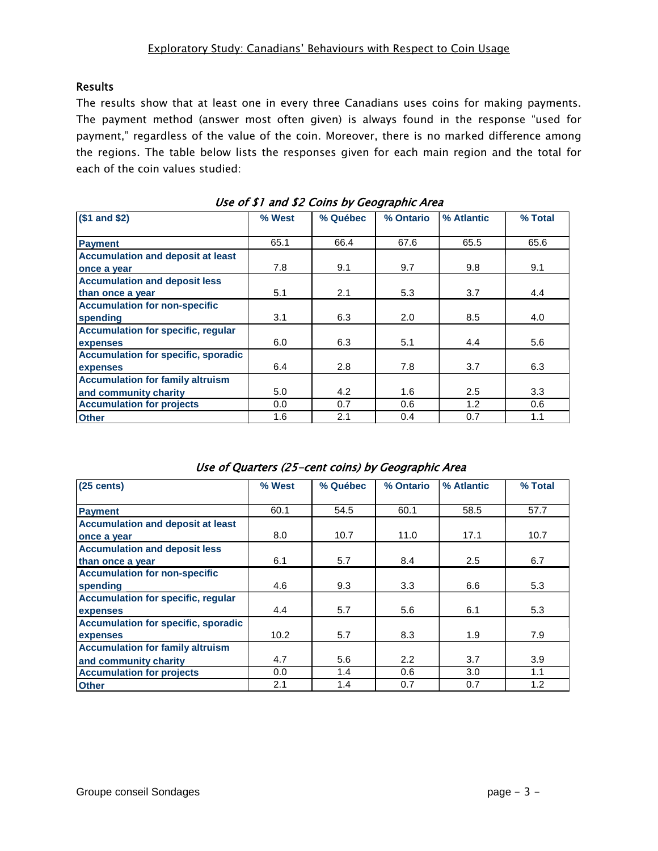#### Results

The results show that at least one in every three Canadians uses coins for making payments. The payment method (answer most often given) is always found in the response "used for payment," regardless of the value of the coin. Moreover, there is no marked difference among the regions. The table below lists the responses given for each main region and the total for each of the coin values studied:

| $($1$ and $$2)$                            | % West | % Québec | % Ontario | % Atlantic | % Total |
|--------------------------------------------|--------|----------|-----------|------------|---------|
|                                            |        |          |           |            |         |
| <b>Payment</b>                             | 65.1   | 66.4     | 67.6      | 65.5       | 65.6    |
| <b>Accumulation and deposit at least</b>   |        |          |           |            |         |
| once a year                                | 7.8    | 9.1      | 9.7       | 9.8        | 9.1     |
| <b>Accumulation and deposit less</b>       |        |          |           |            |         |
| than once a year                           | 5.1    | 2.1      | 5.3       | 3.7        | 4.4     |
| <b>Accumulation for non-specific</b>       |        |          |           |            |         |
| spending                                   | 3.1    | 6.3      | 2.0       | 8.5        | 4.0     |
| <b>Accumulation for specific, regular</b>  |        |          |           |            |         |
| expenses                                   | 6.0    | 6.3      | 5.1       | 4.4        | 5.6     |
| <b>Accumulation for specific, sporadic</b> |        |          |           |            |         |
| expenses                                   | 6.4    | 2.8      | 7.8       | 3.7        | 6.3     |
| <b>Accumulation for family altruism</b>    |        |          |           |            |         |
| and community charity                      | 5.0    | 4.2      | 1.6       | 2.5        | 3.3     |
| <b>Accumulation for projects</b>           | 0.0    | 0.7      | 0.6       | 1.2        | 0.6     |
| <b>Other</b>                               | 1.6    | 2.1      | 0.4       | 0.7        | 1.1     |

| $(25 \text{ cents})$                       | % West | % Québec | % Ontario | % Atlantic | % Total |  |  |
|--------------------------------------------|--------|----------|-----------|------------|---------|--|--|
| <b>Payment</b>                             | 60.1   | 54.5     | 60.1      | 58.5       | 57.7    |  |  |
| <b>Accumulation and deposit at least</b>   |        |          |           |            |         |  |  |
| once a year                                | 8.0    | 10.7     | 11.0      | 17.1       | 10.7    |  |  |
| <b>Accumulation and deposit less</b>       |        |          |           |            |         |  |  |
| than once a year                           | 6.1    | 5.7      | 8.4       | 2.5        | 6.7     |  |  |
| <b>Accumulation for non-specific</b>       |        |          |           |            |         |  |  |
| spending                                   | 4.6    | 9.3      | 3.3       | 6.6        | 5.3     |  |  |
| <b>Accumulation for specific, regular</b>  |        |          |           |            |         |  |  |
| expenses                                   | 4.4    | 5.7      | 5.6       | 6.1        | 5.3     |  |  |
| <b>Accumulation for specific, sporadic</b> |        |          |           |            |         |  |  |
| expenses                                   | 10.2   | 5.7      | 8.3       | 1.9        | 7.9     |  |  |
| <b>Accumulation for family altruism</b>    |        |          |           |            |         |  |  |
| and community charity                      | 4.7    | 5.6      | 2.2       | 3.7        | 3.9     |  |  |
| <b>Accumulation for projects</b>           | 0.0    | 1.4      | 0.6       | 3.0        | 1.1     |  |  |
| <b>Other</b>                               | 2.1    | 1.4      | 0.7       | 0.7        | 1.2     |  |  |

Use of Quarters (25-cent coins) by Geographic Area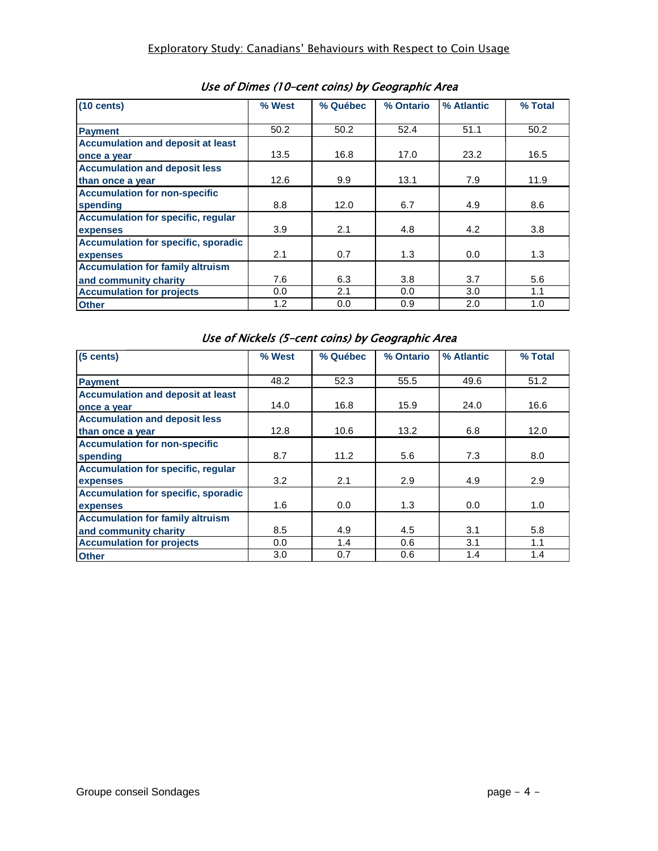| $(10 \text{ cents})$                       | % West | % Québec | % Ontario | % Atlantic | % Total |
|--------------------------------------------|--------|----------|-----------|------------|---------|
|                                            |        |          |           |            |         |
| <b>Payment</b>                             | 50.2   | 50.2     | 52.4      | 51.1       | 50.2    |
| <b>Accumulation and deposit at least</b>   |        |          |           |            |         |
| once a year                                | 13.5   | 16.8     | 17.0      | 23.2       | 16.5    |
| <b>Accumulation and deposit less</b>       |        |          |           |            |         |
| than once a year                           | 12.6   | 9.9      | 13.1      | 7.9        | 11.9    |
| <b>Accumulation for non-specific</b>       |        |          |           |            |         |
| spending                                   | 8.8    | 12.0     | 6.7       | 4.9        | 8.6     |
| <b>Accumulation for specific, regular</b>  |        |          |           |            |         |
| expenses                                   | 3.9    | 2.1      | 4.8       | 4.2        | 3.8     |
| <b>Accumulation for specific, sporadic</b> |        |          |           |            |         |
| expenses                                   | 2.1    | 0.7      | 1.3       | 0.0        | 1.3     |
| <b>Accumulation for family altruism</b>    |        |          |           |            |         |
| and community charity                      | 7.6    | 6.3      | 3.8       | 3.7        | 5.6     |
| <b>Accumulation for projects</b>           | 0.0    | 2.1      | 0.0       | 3.0        | 1.1     |
| <b>Other</b>                               | 1.2    | 0.0      | 0.9       | 2.0        | 1.0     |

Use of Dimes (10–cent coins) by Geographic Area

Use of Nickels (5–cent coins) by Geographic Area

| $(5$ cents)                                | % West | % Québec | % Ontario | % Atlantic | % Total |
|--------------------------------------------|--------|----------|-----------|------------|---------|
| <b>Payment</b>                             | 48.2   | 52.3     | 55.5      | 49.6       | 51.2    |
| <b>Accumulation and deposit at least</b>   |        |          |           |            |         |
| once a year                                | 14.0   | 16.8     | 15.9      | 24.0       | 16.6    |
| <b>Accumulation and deposit less</b>       |        |          |           |            |         |
| than once a year                           | 12.8   | 10.6     | 13.2      | 6.8        | 12.0    |
| <b>Accumulation for non-specific</b>       |        |          |           |            |         |
| spending                                   | 8.7    | 11.2     | 5.6       | 7.3        | 8.0     |
| <b>Accumulation for specific, regular</b>  |        |          |           |            |         |
| expenses                                   | 3.2    | 2.1      | 2.9       | 4.9        | 2.9     |
| <b>Accumulation for specific, sporadic</b> |        |          |           |            |         |
| expenses                                   | 1.6    | 0.0      | 1.3       | 0.0        | 1.0     |
| <b>Accumulation for family altruism</b>    |        |          |           |            |         |
| and community charity                      | 8.5    | 4.9      | 4.5       | 3.1        | 5.8     |
| <b>Accumulation for projects</b>           | 0.0    | 1.4      | 0.6       | 3.1        | 1.1     |
| <b>Other</b>                               | 3.0    | 0.7      | 0.6       | 1.4        | 1.4     |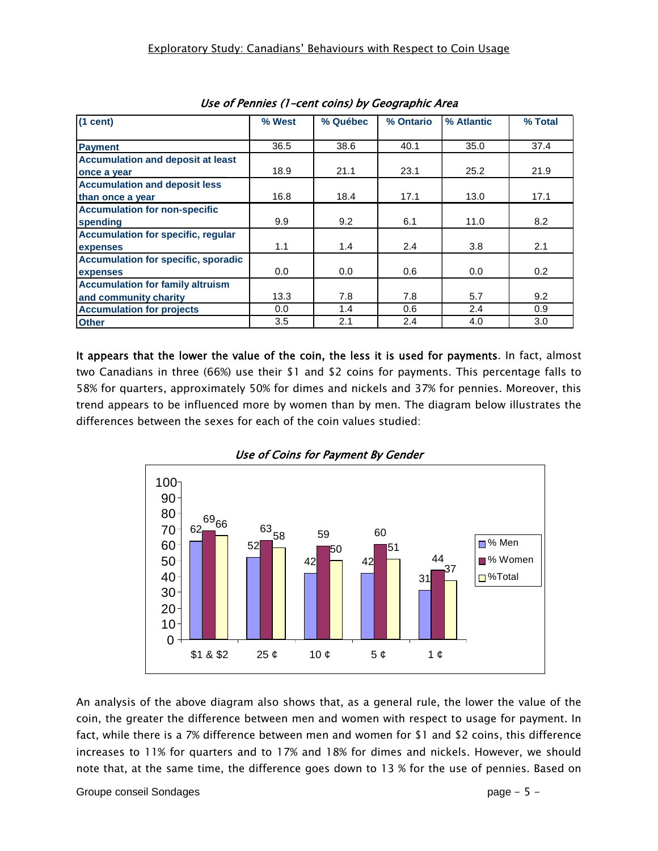| $(1$ cent)                                 | % West | % Québec | % Ontario | % Atlantic | % Total |
|--------------------------------------------|--------|----------|-----------|------------|---------|
| <b>Payment</b>                             | 36.5   | 38.6     | 40.1      | 35.0       | 37.4    |
| <b>Accumulation and deposit at least</b>   |        |          |           |            |         |
| once a year                                | 18.9   | 21.1     | 23.1      | 25.2       | 21.9    |
| <b>Accumulation and deposit less</b>       |        |          |           |            |         |
| than once a year                           | 16.8   | 18.4     | 17.1      | 13.0       | 17.1    |
| <b>Accumulation for non-specific</b>       |        |          |           |            |         |
| spending                                   | 9.9    | 9.2      | 6.1       | 11.0       | 8.2     |
| <b>Accumulation for specific, regular</b>  |        |          |           |            |         |
| expenses                                   | 1.1    | 1.4      | 2.4       | 3.8        | 2.1     |
| <b>Accumulation for specific, sporadic</b> |        |          |           |            |         |
| expenses                                   | 0.0    | 0.0      | 0.6       | 0.0        | 0.2     |
| <b>Accumulation for family altruism</b>    |        |          |           |            |         |
| and community charity                      | 13.3   | 7.8      | 7.8       | 5.7        | 9.2     |
| <b>Accumulation for projects</b>           | 0.0    | 1.4      | 0.6       | 2.4        | 0.9     |
| <b>Other</b>                               | 3.5    | 2.1      | 2.4       | 4.0        | 3.0     |

| Use of Pennies (1-cent coins) by Geographic Area |  |  |  |  |
|--------------------------------------------------|--|--|--|--|
|--------------------------------------------------|--|--|--|--|

It appears that the lower the value of the coin, the less it is used for payments. In fact, almost two Canadians in three (66%) use their \$1 and \$2 coins for payments. This percentage falls to 58% for quarters, approximately 50% for dimes and nickels and 37% for pennies. Moreover, this trend appears to be influenced more by women than by men. The diagram below illustrates the differences between the sexes for each of the coin values studied:





An analysis of the above diagram also shows that, as a general rule, the lower the value of the coin, the greater the difference between men and women with respect to usage for payment. In fact, while there is a 7% difference between men and women for \$1 and \$2 coins, this difference increases to 11% for quarters and to 17% and 18% for dimes and nickels. However, we should note that, at the same time, the difference goes down to 13 % for the use of pennies. Based on

Groupe conseil Sondages **page - 5 -**  $\blacksquare$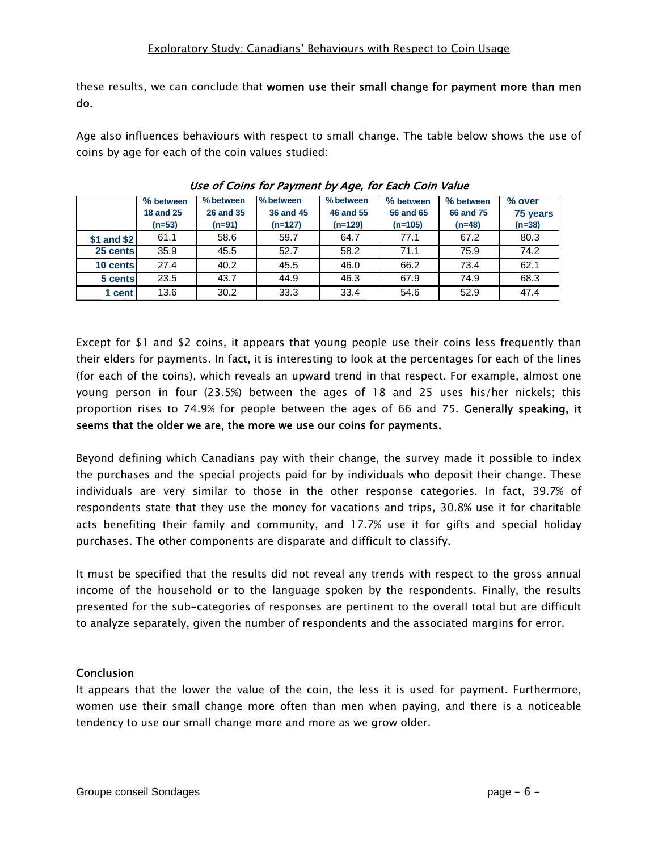these results, we can conclude that women use their small change for payment more than men do.

Age also influences behaviours with respect to small change. The table below shows the use of coins by age for each of the coin values studied:

|             | % between        | % between        | % between | % between        | % between | % between        | % over   |
|-------------|------------------|------------------|-----------|------------------|-----------|------------------|----------|
|             | <b>18 and 25</b> | <b>26 and 35</b> | 36 and 45 | <b>46 and 55</b> | 56 and 65 | <b>66 and 75</b> | 75 years |
|             | $(n=53)$         | $(n=91)$         | $(n=127)$ | $(n=129)$        | $(n=105)$ | $(n=48)$         | $(n=38)$ |
| \$1 and \$2 | 61.1             | 58.6             | 59.7      | 64.7             | 77.1      | 67.2             | 80.3     |
| 25 cents    | 35.9             | 45.5             | 52.7      | 58.2             | 71.1      | 75.9             | 74.2     |
| 10 cents    | 27.4             | 40.2             | 45.5      | 46.0             | 66.2      | 73.4             | 62.1     |
| 5 cents     | 23.5             | 43.7             | 44.9      | 46.3             | 67.9      | 74.9             | 68.3     |
| 1 cent      | 13.6             | 30.2             | 33.3      | 33.4             | 54.6      | 52.9             | 47.4     |

#### Use of Coins for Payment by Age, for Each Coin Value

Except for \$1 and \$2 coins, it appears that young people use their coins less frequently than their elders for payments. In fact, it is interesting to look at the percentages for each of the lines (for each of the coins), which reveals an upward trend in that respect. For example, almost one young person in four (23.5%) between the ages of 18 and 25 uses his/her nickels; this proportion rises to 74.9% for people between the ages of 66 and 75. Generally speaking, it seems that the older we are, the more we use our coins for payments.

Beyond defining which Canadians pay with their change, the survey made it possible to index the purchases and the special projects paid for by individuals who deposit their change. These individuals are very similar to those in the other response categories. In fact, 39.7% of respondents state that they use the money for vacations and trips, 30.8% use it for charitable acts benefiting their family and community, and 17.7% use it for gifts and special holiday purchases. The other components are disparate and difficult to classify.

It must be specified that the results did not reveal any trends with respect to the gross annual income of the household or to the language spoken by the respondents. Finally, the results presented for the sub-categories of responses are pertinent to the overall total but are difficult to analyze separately, given the number of respondents and the associated margins for error.

#### **Conclusion**

It appears that the lower the value of the coin, the less it is used for payment. Furthermore, women use their small change more often than men when paying, and there is a noticeable tendency to use our small change more and more as we grow older.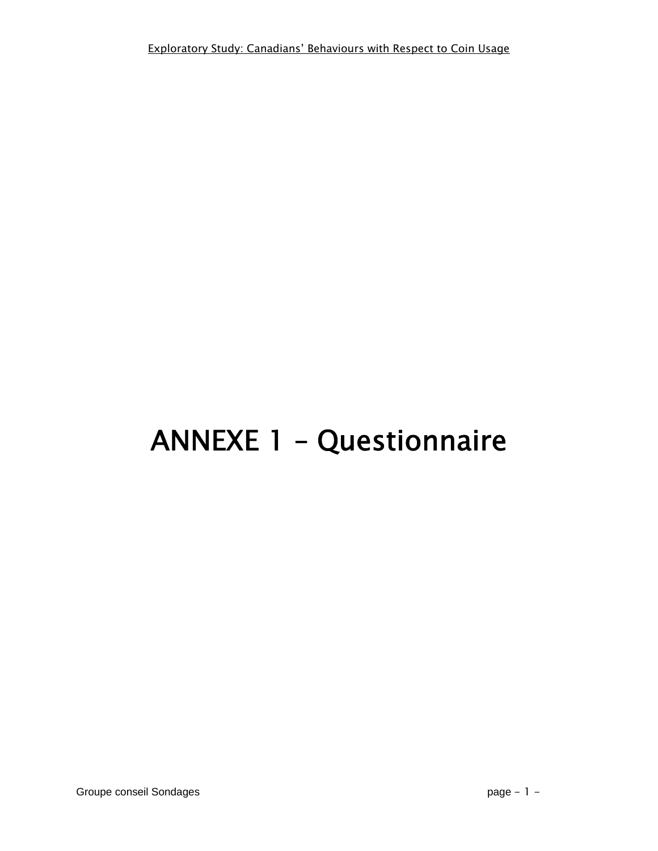# ANNEXE 1 – Questionnaire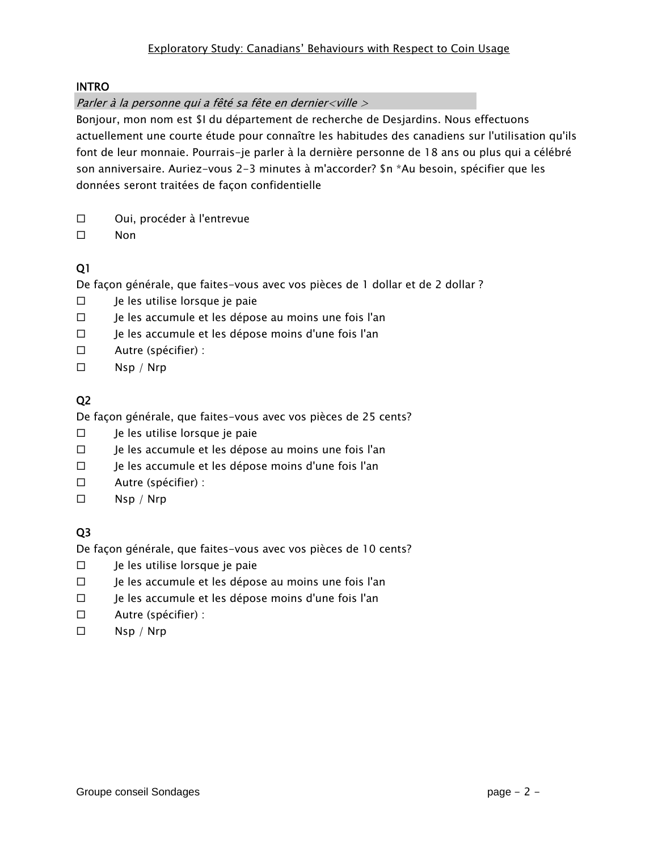#### INTRO

#### Parler à la personne qui a fêté sa fête en dernier<ville >

Bonjour, mon nom est \$I du département de recherche de Desjardins. Nous effectuons actuellement une courte étude pour connaître les habitudes des canadiens sur l'utilisation qu'ils font de leur monnaie. Pourrais-je parler à la dernière personne de 18 ans ou plus qui a célébré son anniversaire. Auriez-vous 2-3 minutes à m'accorder? \$n \*Au besoin, spécifier que les données seront traitées de façon confidentielle

- Oui, procéder à l'entrevue
- □ Non

## Q1

De façon générale, que faites-vous avec vos pièces de 1 dollar et de 2 dollar ?

- $\square$  Je les utilise lorsque je paie
- $\Box$  Je les accumule et les dépose au moins une fois l'an
- $\Box$  Je les accumule et les dépose moins d'une fois l'an
- Autre (spécifier) :
- $\square$  Nsp / Nrp

## Q2

De façon générale, que faites-vous avec vos pièces de 25 cents?

- $\square$  Je les utilise lorsque je paie
- □ Je les accumule et les dépose au moins une fois l'an
- Je les accumule et les dépose moins d'une fois l'an
- Autre (spécifier) :
- $\square$  Nsp / Nrp

# Q3

De façon générale, que faites-vous avec vos pièces de 10 cents?

- $\square$  Je les utilise lorsque je paie
- $\Box$  Je les accumule et les dépose au moins une fois l'an
- $\square$  le les accumule et les dépose moins d'une fois l'an
- Autre (spécifier) :
- $\square$  Nsp / Nrp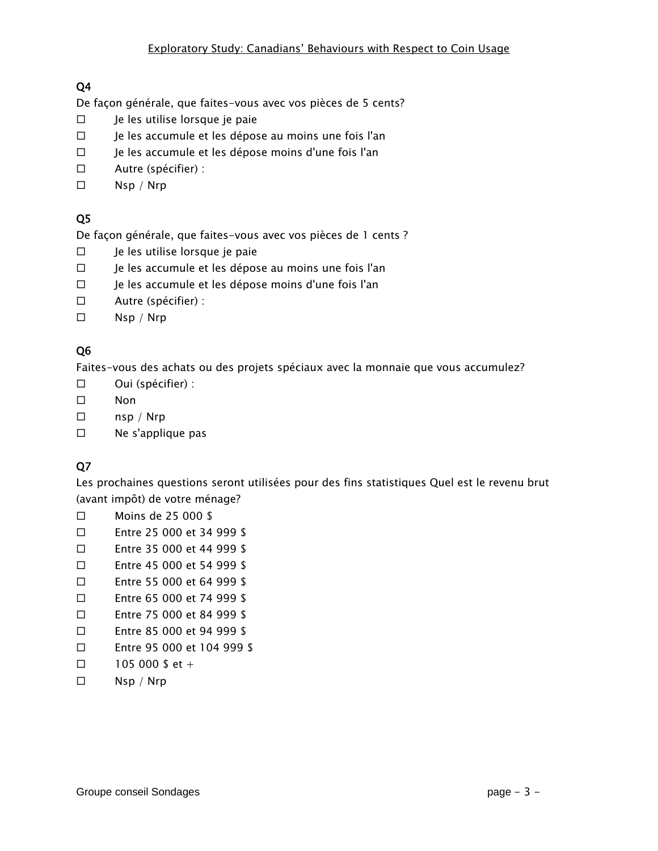De façon générale, que faites-vous avec vos pièces de 5 cents?

- $\square$  Je les utilise lorsque je paie
- □ Je les accumule et les dépose au moins une fois l'an
- $\Box$  Je les accumule et les dépose moins d'une fois l'an
- Autre (spécifier) :
- $\square$  Nsp / Nrp

# Q5

De façon générale, que faites-vous avec vos pièces de 1 cents ?

- $\square$  Je les utilise lorsque je paie
- $\Box$  Je les accumule et les dépose au moins une fois l'an
- Je les accumule et les dépose moins d'une fois l'an
- Autre (spécifier) :
- $\square$  Nsp / Nrp

## Q6

Faites-vous des achats ou des projets spéciaux avec la monnaie que vous accumulez?

- Oui (spécifier) :
- □ Non
- $\square$  nsp / Nrp
- Ne s'applique pas

# Q7

Les prochaines questions seront utilisées pour des fins statistiques Quel est le revenu brut (avant impôt) de votre ménage?

- Moins de 25 000 \$
- Entre 25 000 et 34 999 \$
- Entre 35 000 et 44 999 \$
- Entre 45 000 et 54 999 \$
- Entre 55 000 et 64 999 \$
- Entre 65 000 et 74 999 \$
- Entre 75 000 et 84 999 \$
- Entre 85 000 et 94 999 \$
- Entre 95 000 et 104 999 \$
- $\Box$  105 000 \$ et +
- $\square$  Nsp / Nrp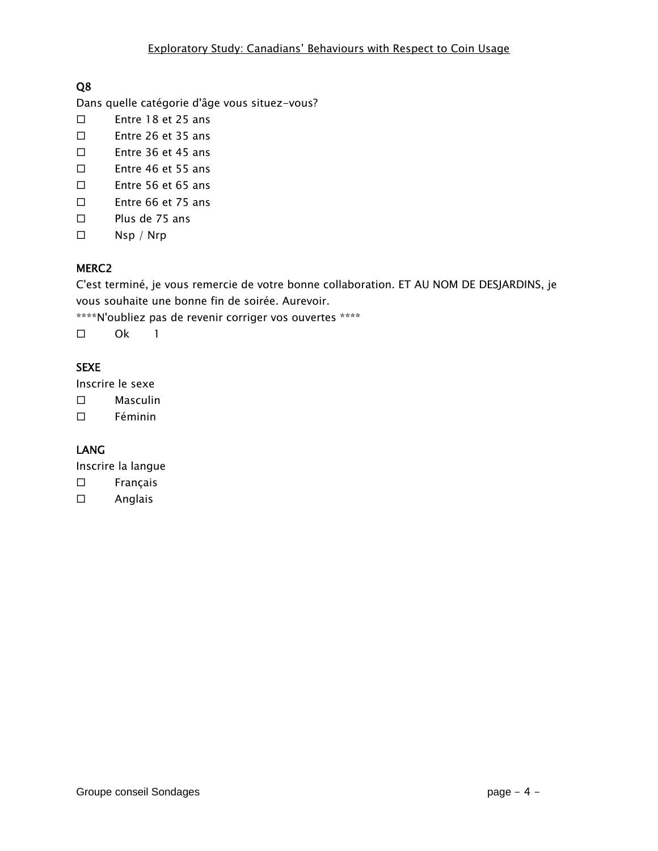Dans quelle catégorie d'âge vous situez-vous?

- Entre 18 et 25 ans
- Entre 26 et 35 ans
- Entre 36 et 45 ans
- Entre 46 et 55 ans
- Entre 56 et 65 ans
- Entre 66 et 75 ans
- $\square$  Plus de 75 ans
- Nsp / Nrp

## MERC2

C'est terminé, je vous remercie de votre bonne collaboration. ET AU NOM DE DESJARDINS, je vous souhaite une bonne fin de soirée. Aurevoir.

\*\*\*\*N'oubliez pas de revenir corriger vos ouvertes \*\*\*\*

Ok 1

# SEXE

Inscrire le sexe

- Masculin
- $\square$  Féminin

# LANG

Inscrire la langue

- Français
- Anglais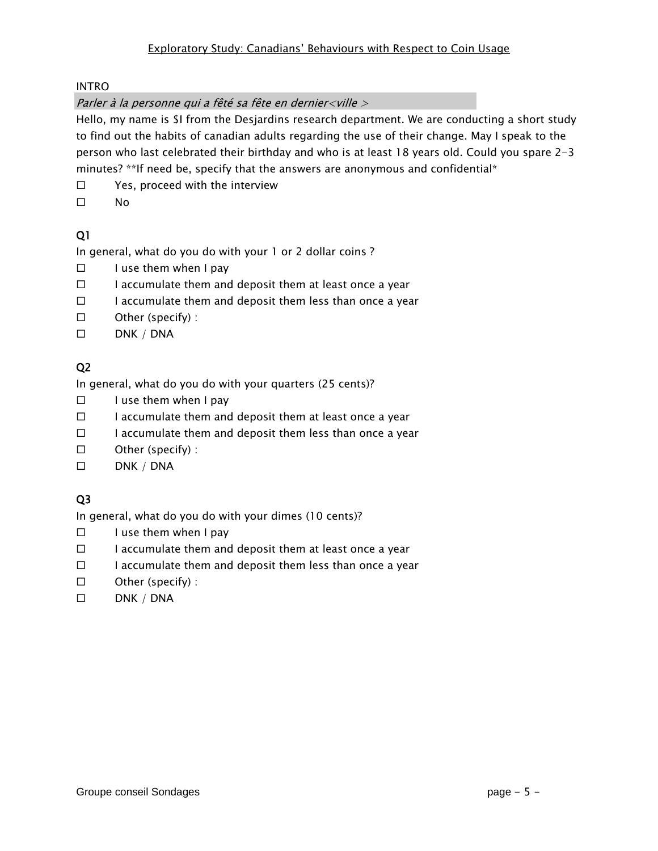INTRO

Parler à la personne qui a fêté sa fête en dernier<ville >

Hello, my name is \$I from the Desjardins research department. We are conducting a short study to find out the habits of canadian adults regarding the use of their change. May I speak to the person who last celebrated their birthday and who is at least 18 years old. Could you spare 2-3 minutes? \*\*If need be, specify that the answers are anonymous and confidential\*

- $\square$  Yes, proceed with the interview
- $\square$  No

# Q1

In general, what do you do with your 1 or 2 dollar coins ?

- $\Box$  I use them when I pay
- $\Box$  I accumulate them and deposit them at least once a year
- $\Box$  I accumulate them and deposit them less than once a year
- $\square$  Other (specify) :
- $\square$  DNK / DNA

## Q2

In general, what do you do with your quarters (25 cents)?

- $\Box$  I use them when I pay
- $\Box$  I accumulate them and deposit them at least once a year
- $\square$  I accumulate them and deposit them less than once a year
- $\square$  Other (specify) :
- $\square$  DNK / DNA

# Q3

In general, what do you do with your dimes (10 cents)?

- $\square$  I use them when I pay
- $\Box$  I accumulate them and deposit them at least once a year
- $\Box$  I accumulate them and deposit them less than once a year
- $\square$  Other (specify) :
- $\square$  DNK / DNA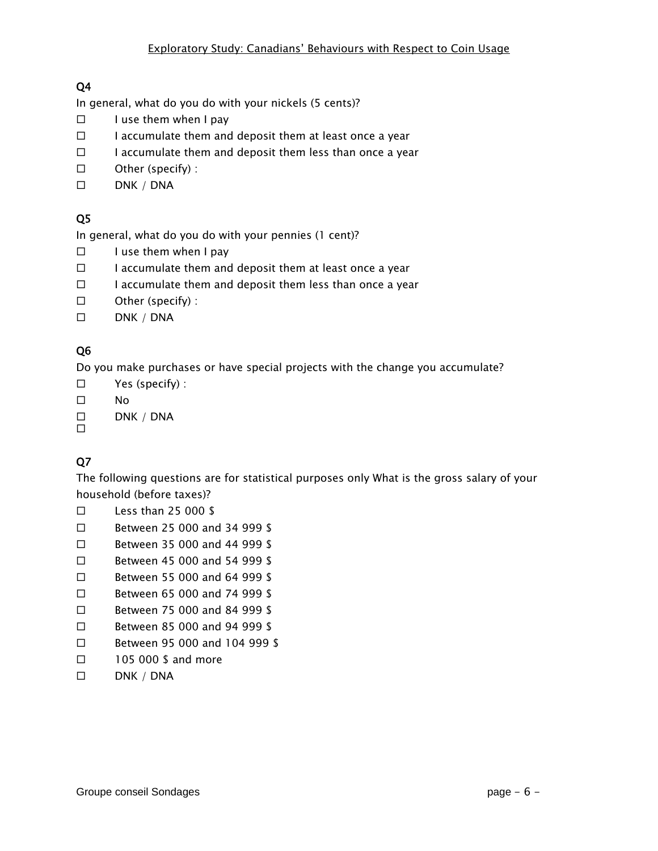In general, what do you do with your nickels (5 cents)?

- $\Box$  I use them when I pay
- $\Box$  I accumulate them and deposit them at least once a year
- $\Box$  I accumulate them and deposit them less than once a year
- $\square$  Other (specify) :
- $\square$  DNK / DNA

# Q5

In general, what do you do with your pennies (1 cent)?

- $\square$  I use them when I pay
- $\Box$  I accumulate them and deposit them at least once a year
- $\square$  I accumulate them and deposit them less than once a year
- □ Other (specify) :
- $\square$  DNK / DNA

## Q6

Do you make purchases or have special projects with the change you accumulate?

- Yes (specify) :
- $\square$  No
- $\square$  DNK / DNA

# $\Box$

# Q7

The following questions are for statistical purposes only What is the gross salary of your household (before taxes)?

- $\square$  Less than 25 000 \$
- □ Between 25 000 and 34 999 \$
- Between 35 000 and 44 999 \$
- □ Between 45 000 and 54 999 \$
- Between 55 000 and 64 999 \$
- Between 65 000 and 74 999 \$
- Between 75 000 and 84 999 \$
- Between 85 000 and 94 999 \$
- □ Between 95 000 and 104 999 \$
- □ 105 000 \$ and more
- $\square$  DNK / DNA